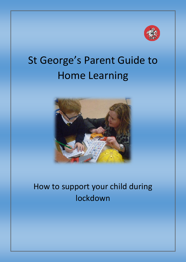

# St George's Parent Guide to Home Learning



# How to support your child during lockdown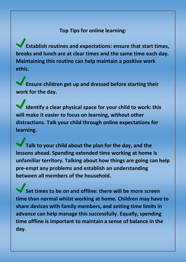**Top Tips for online learning:**

**Establish routines and expectations: ensure that start times, breaks and lunch are at clear times and the same time each day. Maintaining this routine can help maintain a positive work ethic.** 

**Ensure children get up and dressed before starting their work for the day.** 

**Identify a clear physical space for your child to work: this will make it easier to focus on learning, without other distractions. Talk your child through online expectations for learning.** 

**Talk to your child about the plan for the day, and the lessons ahead. Spending extended time working at home is unfamiliar territory. Talking about how things are going can help pre-empt any problems and establish an understanding between all members of the household.**

**Set times to be on and offline: there will be more screen time than normal whilst working at home. Children may have to share devices with family members, and setting time limits in advance can help manage this successfully. Equally, spending time offline is important to maintain a sense of balance in the day.**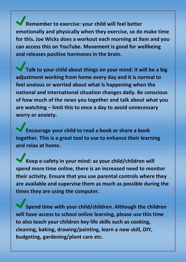**Remember to exercise: your child will feel better emotionally and physically when they exercise, so do make time for this. Joe Wicks does a workout each morning at 9am and you can access this on YouTube. Movement is good for wellbeing and releases positive hormones in the brain.**

**Talk to your child about things on your mind: it will be a big adjustment working from home every day and it is normal to feel anxious or worried about what is happening when the national and international situation changes daily. Be conscious of how much of the news you together and talk about what you are watching – limit this to once a day to avoid unnecessary worry or anxiety.** 

**Encourage your child to read a book or share a book together. This is a great tool to use to enhance their learning and relax at home.**

**Keep e-safety in your mind: as your child/children will spend more time online, there is an increased need to monitor their activity. Ensure that you use parental controls where they are available and supervise them as much as possible during the times they are using the computer.** 

**Spend time with your child/children. Although the children will have access to school online learning, please use this time to also teach your children key life skills such as cooking, cleaning, baking, drawing/painting, learn a new skill, DIY, budgeting, gardening/plant care etc.**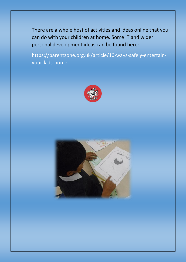There are a whole host of activities and ideas online that you can do with your children at home. Some IT and wider personal development ideas can be found here:

[https://parentzone.org.uk/article/10-ways-safely-entertain](https://parentzone.org.uk/article/10-ways-safely-entertain-your-kids-home)[your-kids-home](https://parentzone.org.uk/article/10-ways-safely-entertain-your-kids-home)



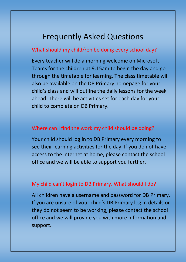## Frequently Asked Questions

#### What should my child/ren be doing every school day?

Every teacher will do a morning welcome on Microsoft Teams for the children at 9:15am to begin the day and go through the timetable for learning. The class timetable will also be available on the DB Primary homepage for your child's class and will outline the daily lessons for the week ahead. There will be activities set for each day for your child to complete on DB Primary.

#### Where can I find the work my child should be doing?

Your child should log in to DB Primary every morning to see their learning activities for the day. If you do not have access to the internet at home, please contact the school office and we will be able to support you further.

#### My child can't login to DB Primary. What should I do?

All children have a username and password for DB Primary. If you are unsure of your child's DB Primary log in details or they do not seem to be working, please contact the school office and we will provide you with more information and support.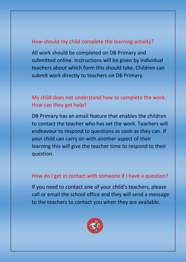#### How should my child complete the learning activity?

All work should be completed on DB Primary and submitted online. Instructions will be given by individual teachers about which form this should take. Children can submit work directly to teachers on DB Primary.

#### My child does not understand how to complete the work. How can they get help?

DB Primary has an email feature that enables the children to contact the teacher who has set the work. Teachers will endeavour to respond to questions as soon as they can. If your child can carry on with another aspect of their learning this will give the teacher time to respond to their question.

#### How do I get in contact with someone if I have a question?

If you need to contact one of your child's teachers, please call or email the school office and they will send a message to the teachers to contact you when they are available.

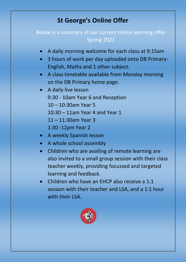### **St George's Online Offer**

#### Below is a summary of our current online learning offer Spring 2021

- A daily morning welcome for each class at 9:15am
- 3 hours of work per day uploaded onto DB Primary-English, Maths and 1 other subject.
- A class timetable available from Monday morning on the DB Primary home page.
- A daily live lesson 9:30 - 10am Year 6 and Reception 10 – 10:30am Year 5 10:30 – 11am Year 4 and Year 1 11 – 11:30am Year 3 1:30 -12pm Year 2
- A weekly Spanish lesson
- A whole school assembly
- Children who are availing of remote learning are also invited to a small group session with their class teacher weekly, providing focussed and targeted learning and feedback.
- Children who have an EHCP also receive a 1:1 session with their teacher and LSA, and a 1:1 hour with their LSA